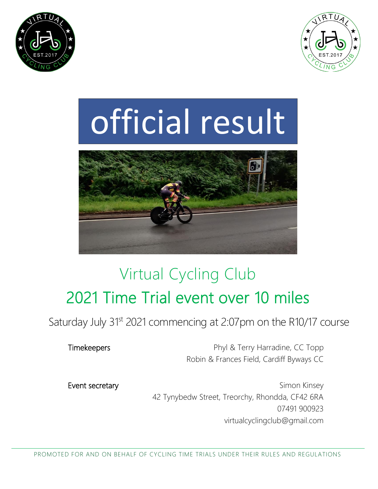



# official result



# Virtual Cycling Club 2021 Time Trial event over 10 miles

Saturday July 31st 2021 commencing at 2:07pm on the R10/17 course

Timekeepers **Phyl & Terry Harradine, CC Topp** Robin & Frances Field, Cardiff Byways CC

Event secretary **Simon Kinsey** Simon Kinsey 42 Tynybedw Street, Treorchy, Rhondda, CF42 6RA 07491 900923 virtualcyclingclub@gmail.com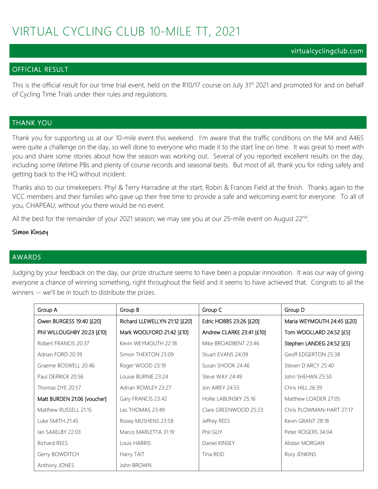## VIRTUAL CYCLING CLUB 10-MILE TT, 2021

#### virtualcyclingclub.com

#### OFFICIAL RESULT

This is the official result for our time trial event, held on the R10/17 course on July 31<sup>st</sup> 2021 and promoted for and on behalf of Cycling Time Trials under their rules and regulations.

#### THANK YOU

Thank you for supporting us at our 10-mile event this weekend. I'm aware that the traffic conditions on the M4 and A465 were quite a challenge on the day, so well done to everyone who made it to the start line on time. It was great to meet with you and share some stories about how the season was working out. Several of you reported excellent results on the day, including some lifetime PBs and plenty of course records and seasonal bests. But most of all, thank you for riding safely and getting back to the HQ without incident.

Thanks also to our timekeepers: Phyl & Terry Harradine at the start; Robin & Frances Field at the finish. Thanks again to the VCC members and their families who gave up their free time to provide a safe and welcoming event for everyone. To all of you, CHAPEAU, without you there would be no event.

All the best for the remainder of your 2021 season; we may see you at our 25-mile event on August 22<sup>nd</sup>.

#### Simon Kinsey

#### AWARDS

Judging by your feedback on the day, our prize structure seems to have been a popular innovation. It was our way of giving everyone a chance of winning something, right throughout the field and it seems to have achieved that. Congrats to all the winners -- we'll be in touch to distribute the prizes.

| Group A                     | Group B                       | Group C                   | Group D                    |
|-----------------------------|-------------------------------|---------------------------|----------------------------|
| Owen BURGESS 19:40 [£20]    | Richard LLEWELLYN 21:12 [£20] | Edric HOBBS 23:26 [£20]   | Maria WEYMOUTH 24:45 [£20] |
| Phil WILLOUGHBY 20:23 [£10] | Mark WOOLFORD 21:42 [£10]     | Andrew CLARKE 23:41 [£10] | Tom WOOLLARD 24:52 [£5]    |
| Robert FRANCIS 20:37        | Kevin WEYMOUTH 22:18          | Mike BROADBENT 23:46      | Stephen LANDEG 24:52 [£5]  |
| Adrian FORD 20:39           | Simon THEXTON 23:09           | Stuart EVANS 24:09        | Geoff EDGERTON 25:38       |
| Graeme BOSWELL 20:46        | Roger WOOD 23:19              | Susan SHOOK 24:46         | Steven D'ARCY 25:40        |
| Paul DERRICK 20:56          | Louise BURNIE 23:24           | Steve WAY 24:49           | John SHEHAN 25:50          |
| Thomas DYE 20:57            | Adrian ROWLEY 23:27           | Jon AIREY 24:55           | Chris HILL 26:39           |
| Matt BURDEN 21:06 [voucher] | Gary FRANCIS 23:42            | Hollie LABUNSKY 25:16     | Matthew LOADER 27:05       |
| Matthew RUSSELL 21:15       | Les THOMAS 23:49              | Clare GREENWOOD 25:23     | Chris PLOWMAN-HART 27:17   |
| Luke SMITH 21:45            | Rosey MUSHENS 23:58           | Jeffrey REES              | Kevin GRANT 28:18          |
| lan SAXELBY 22:03           | Marco MARLETTA 31:19          | Phil GUY                  | Peter ROGERS 34:04         |
| <b>Richard REES</b>         | Louis HARRIS                  | Daniel KINSEY             | Alistair MORGAN            |
| Gerry BOWDITCH              | Harry TAIT                    | Tina REID                 | Rory JENKINS               |
| Anthony JONES               | John BROWN                    |                           |                            |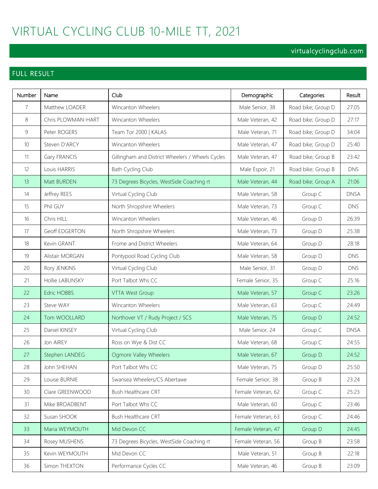## VIRTUAL CYCLING CLUB 10-MILE TT, 2021

## virtualcyclingclub.com

## FULL RESULT

| Number          | Name               | Club                                             | Demographic        | Categories         | Result      |
|-----------------|--------------------|--------------------------------------------------|--------------------|--------------------|-------------|
| $\overline{7}$  | Matthew LOADER     | Wincanton Wheelers                               | Male Senior, 38    | Road bike; Group D | 27:05       |
| 8               | Chris PLOWMAN-HART | Wincanton Wheelers                               | Male Veteran, 42   | Road bike; Group D | 27:17       |
| $\mathcal{G}$   | Peter ROGERS       | Team Tor 2000   KALAS                            | Male Veteran, 71   | Road bike; Group D | 34:04       |
| 10 <sup>°</sup> | Steven D'ARCY      | Wincanton Wheelers                               | Male Veteran, 47   | Road bike; Group D | 25:40       |
| 11              | Gary FRANCIS       | Gillingham and District Wheelers / Wheels Cycles | Male Veteran, 47   | Road bike; Group B | 23:42       |
| 12              | Louis HARRIS       | Bath Cycling Club                                | Male Espoir, 21    | Road bike; Group B | <b>DNS</b>  |
| 13              | Matt BURDEN        | 73 Degrees Bicycles, WestSide Coaching rt        | Male Veteran, 44   | Road bike; Group A | 21:06       |
| 14              | Jeffrey REES       | Virtual Cycling Club                             | Male Veteran, 58   | Group C            | <b>DNSA</b> |
| 15              | Phil GUY           | North Shropshire Wheelers                        | Male Veteran, 73   | Group C            | <b>DNS</b>  |
| 16              | Chris HILL         | Wincanton Wheelers                               | Male Veteran, 46   | Group D            | 26:39       |
| 17              | Geoff EDGERTON     | North Shropshire Wheelers                        | Male Veteran, 73   | Group D            | 25:38       |
| 18              | Kevin GRANT        | Frome and District Wheelers                      | Male Veteran, 64   | Group D            | 28:18       |
| 19              | Alistair MORGAN    | Pontypool Road Cycling Club                      | Male Veteran, 58   | Group D            | <b>DNS</b>  |
| 20              | Rory JENKINS       | Virtual Cycling Club                             | Male Senior, 31    | Group D            | <b>DNS</b>  |
| 21              | Hollie LABUNSKY    | Port Talbot Whs CC                               | Female Senior, 35  | Group C            | 25:16       |
| 22              | <b>Edric HOBBS</b> | <b>VTTA West Group</b>                           | Male Veteran, 57   | Group C            | 23:26       |
| 23              | Steve WAY          | Wincanton Wheelers                               | Male Veteran, 63   | Group C            | 24:49       |
| 24              | Tom WOOLLARD       | Northover VT / Rudy Project / SCS                | Male Veteran, 75   | Group D            | 24:52       |
| 25              | Daniel KINSEY      | Virtual Cycling Club                             | Male Senior, 24    | Group C            | <b>DNSA</b> |
| 26              | Jon AIREY          | Ross on Wye & Dist CC                            | Male Veteran, 68   | Group C            | 24:55       |
| 27              | Stephen LANDEG     | Ogmore Valley Wheelers                           | Male Veteran, 67   | Group D            | 24:52       |
| 28              | John SHEHAN        | Port Talbot Whs CC                               | Male Veteran, 75   | Group D            | 25:50       |
| 29              | Louise BURNIE      | Swansea Wheelers/CS Abertawe                     | Female Senior, 38  | Group B            | 23:24       |
| 30              | Clare GREENWOOD    | Bush Healthcare CRT                              | Female Veteran, 62 | Group C            | 25:23       |
| 31              | Mike BROADBENT     | Port Talbot Whs CC                               | Male Veteran, 60   | Group C            | 23:46       |
| 32              | Susan SHOOK        | Bush Healthcare CRT                              | Female Veteran, 63 | Group C            | 24:46       |
| 33              | Maria WEYMOUTH     | Mid Devon CC                                     | Female Veteran, 47 | Group D            | 24:45       |
| 34              | Rosey MUSHENS      | 73 Degrees Bicycles, WestSide Coaching rt        | Female Veteran, 56 | Group B            | 23:58       |
| 35              | Kevin WEYMOUTH     | Mid Devon CC                                     | Male Veteran, 51   | Group B            | 22:18       |
| 36              | Simon THEXTON      | Performance Cycles CC                            | Male Veteran, 46   | Group B            | 23:09       |